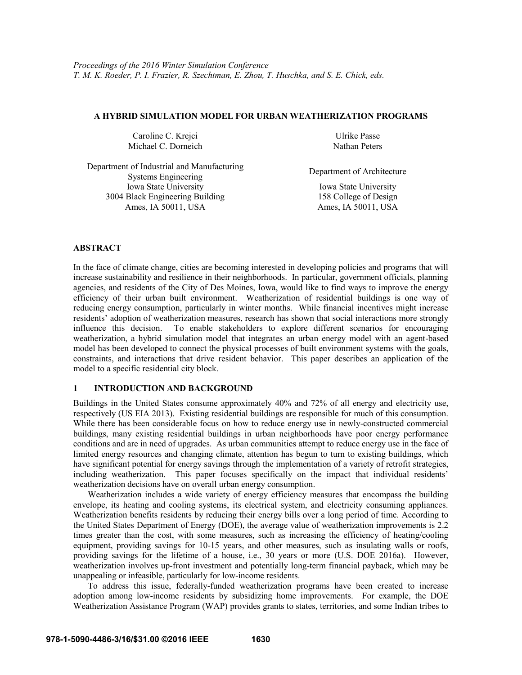#### **A HYBRID SIMULATION MODEL FOR URBAN WEATHERIZATION PROGRAMS**

Caroline C. Krejci Ulrike Passe Michael C. Dorneich Nathan Peters

Iowa State University 3004 Black Engineering Building

Ames, IA 50011, USA

Department of Industrial and Manufacturing Systems Engineering Department of Architecture

Iowa State University 158 College of Design<br>Ames, IA 50011, USA

**ABSTRACT** 

In the face of climate change, cities are becoming interested in developing policies and programs that will increase sustainability and resilience in their neighborhoods. In particular, government officials, planning agencies, and residents of the City of Des Moines, Iowa, would like to find ways to improve the energy efficiency of their urban built environment. Weatherization of residential buildings is one way of reducing energy consumption, particularly in winter months. While financial incentives might increase residents' adoption of weatherization measures, research has shown that social interactions more strongly influence this decision. To enable stakeholders to explore different scenarios for encouraging weatherization, a hybrid simulation model that integrates an urban energy model with an agent-based model has been developed to connect the physical processes of built environment systems with the goals, constraints, and interactions that drive resident behavior. This paper describes an application of the model to a specific residential city block.

# **1 INTRODUCTION AND BACKGROUND**

Buildings in the United States consume approximately 40% and 72% of all energy and electricity use, respectively (US EIA 2013). Existing residential buildings are responsible for much of this consumption. While there has been considerable focus on how to reduce energy use in newly-constructed commercial buildings, many existing residential buildings in urban neighborhoods have poor energy performance conditions and are in need of upgrades. As urban communities attempt to reduce energy use in the face of limited energy resources and changing climate, attention has begun to turn to existing buildings, which have significant potential for energy savings through the implementation of a variety of retrofit strategies, including weatherization. This paper focuses specifically on the impact that individual residents' weatherization decisions have on overall urban energy consumption.

 Weatherization includes a wide variety of energy efficiency measures that encompass the building envelope, its heating and cooling systems, its electrical system, and electricity consuming appliances. Weatherization benefits residents by reducing their energy bills over a long period of time. According to the United States Department of Energy (DOE), the average value of weatherization improvements is 2.2 times greater than the cost, with some measures, such as increasing the efficiency of heating/cooling equipment, providing savings for 10-15 years, and other measures, such as insulating walls or roofs, providing savings for the lifetime of a house, i.e., 30 years or more (U.S. DOE 2016a). However, weatherization involves up-front investment and potentially long-term financial payback, which may be unappealing or infeasible, particularly for low-income residents.

 To address this issue, federally-funded weatherization programs have been created to increase adoption among low-income residents by subsidizing home improvements. For example, the DOE Weatherization Assistance Program (WAP) provides grants to states, territories, and some Indian tribes to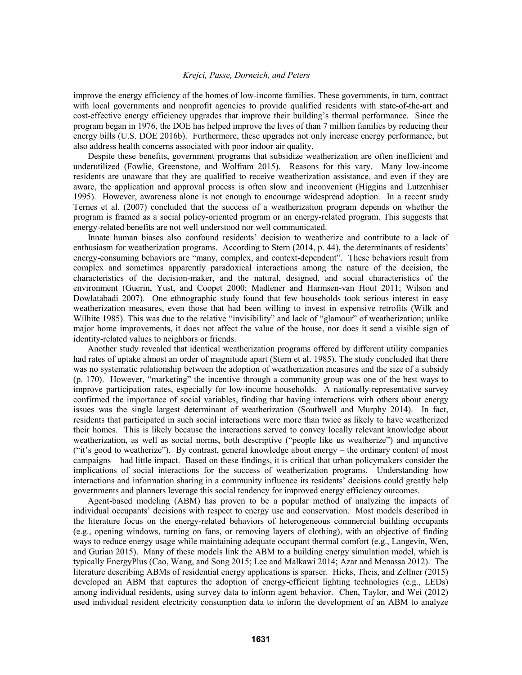improve the energy efficiency of the homes of low-income families. These governments, in turn, contract with local governments and nonprofit agencies to provide qualified residents with state-of-the-art and cost-effective energy efficiency upgrades that improve their building's thermal performance. Since the program began in 1976, the DOE has helped improve the lives of than 7 million families by reducing their energy bills (U.S. DOE 2016b). Furthermore, these upgrades not only increase energy performance, but also address health concerns associated with poor indoor air quality.

 Despite these benefits, government programs that subsidize weatherization are often inefficient and underutilized (Fowlie, Greenstone, and Wolfram 2015). Reasons for this vary. Many low-income residents are unaware that they are qualified to receive weatherization assistance, and even if they are aware, the application and approval process is often slow and inconvenient (Higgins and Lutzenhiser 1995). However, awareness alone is not enough to encourage widespread adoption. In a recent study Ternes et al. (2007) concluded that the success of a weatherization program depends on whether the program is framed as a social policy-oriented program or an energy-related program. This suggests that energy-related benefits are not well understood nor well communicated.

 Innate human biases also confound residents' decision to weatherize and contribute to a lack of enthusiasm for weatherization programs. According to Stern (2014, p. 44), the determinants of residents' energy-consuming behaviors are "many, complex, and context-dependent". These behaviors result from complex and sometimes apparently paradoxical interactions among the nature of the decision, the characteristics of the decision-maker, and the natural, designed, and social characteristics of the environment (Guerin, Yust, and Coopet 2000; Madlener and Harmsen-van Hout 2011; Wilson and Dowlatabadi 2007). One ethnographic study found that few households took serious interest in easy weatherization measures, even those that had been willing to invest in expensive retrofits (Wilk and Wilhite 1985). This was due to the relative "invisibility" and lack of "glamour" of weatherization; unlike major home improvements, it does not affect the value of the house, nor does it send a visible sign of identity-related values to neighbors or friends.

 Another study revealed that identical weatherization programs offered by different utility companies had rates of uptake almost an order of magnitude apart (Stern et al. 1985). The study concluded that there was no systematic relationship between the adoption of weatherization measures and the size of a subsidy (p. 170). However, "marketing" the incentive through a community group was one of the best ways to improve participation rates, especially for low-income households. A nationally-representative survey confirmed the importance of social variables, finding that having interactions with others about energy issues was the single largest determinant of weatherization (Southwell and Murphy 2014). In fact, residents that participated in such social interactions were more than twice as likely to have weatherized their homes. This is likely because the interactions served to convey locally relevant knowledge about weatherization, as well as social norms, both descriptive ("people like us weatherize") and injunctive ("it's good to weatherize"). By contrast, general knowledge about energy – the ordinary content of most campaigns – had little impact. Based on these findings, it is critical that urban policymakers consider the implications of social interactions for the success of weatherization programs. Understanding how interactions and information sharing in a community influence its residents' decisions could greatly help governments and planners leverage this social tendency for improved energy efficiency outcomes.

Agent-based modeling (ABM) has proven to be a popular method of analyzing the impacts of individual occupants' decisions with respect to energy use and conservation. Most models described in the literature focus on the energy-related behaviors of heterogeneous commercial building occupants (e.g., opening windows, turning on fans, or removing layers of clothing), with an objective of finding ways to reduce energy usage while maintaining adequate occupant thermal comfort (e.g., Langevin, Wen, and Gurian 2015). Many of these models link the ABM to a building energy simulation model, which is typically EnergyPlus (Cao, Wang, and Song 2015; Lee and Malkawi 2014; Azar and Menassa 2012). The literature describing ABMs of residential energy applications is sparser. Hicks, Theis, and Zellner (2015) developed an ABM that captures the adoption of energy-efficient lighting technologies (e.g., LEDs) among individual residents, using survey data to inform agent behavior. Chen, Taylor, and Wei (2012) used individual resident electricity consumption data to inform the development of an ABM to analyze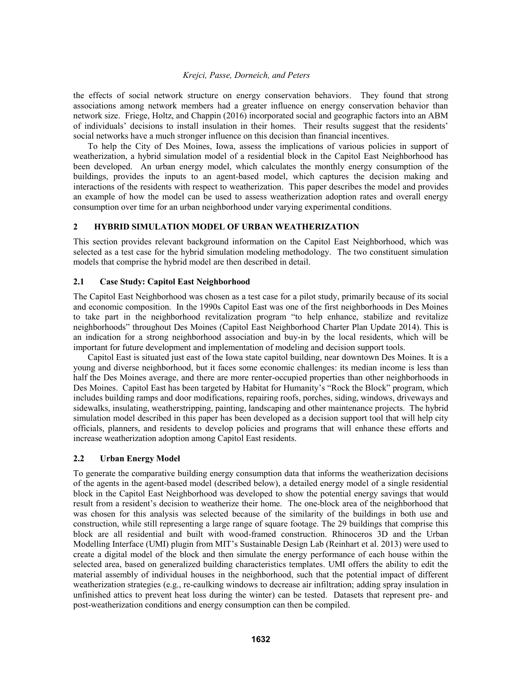the effects of social network structure on energy conservation behaviors. They found that strong associations among network members had a greater influence on energy conservation behavior than network size. Friege, Holtz, and Chappin (2016) incorporated social and geographic factors into an ABM of individuals' decisions to install insulation in their homes. Their results suggest that the residents' social networks have a much stronger influence on this decision than financial incentives.

 To help the City of Des Moines, Iowa, assess the implications of various policies in support of weatherization, a hybrid simulation model of a residential block in the Capitol East Neighborhood has been developed. An urban energy model, which calculates the monthly energy consumption of the buildings, provides the inputs to an agent-based model, which captures the decision making and interactions of the residents with respect to weatherization. This paper describes the model and provides an example of how the model can be used to assess weatherization adoption rates and overall energy consumption over time for an urban neighborhood under varying experimental conditions.

#### **2 HYBRID SIMULATION MODEL OF URBAN WEATHERIZATION**

This section provides relevant background information on the Capitol East Neighborhood, which was selected as a test case for the hybrid simulation modeling methodology. The two constituent simulation models that comprise the hybrid model are then described in detail.

## **2.1 Case Study: Capitol East Neighborhood**

The Capitol East Neighborhood was chosen as a test case for a pilot study, primarily because of its social and economic composition. In the 1990s Capitol East was one of the first neighborhoods in Des Moines to take part in the neighborhood revitalization program "to help enhance, stabilize and revitalize neighborhoods" throughout Des Moines (Capitol East Neighborhood Charter Plan Update 2014). This is an indication for a strong neighborhood association and buy-in by the local residents, which will be important for future development and implementation of modeling and decision support tools.

 Capitol East is situated just east of the Iowa state capitol building, near downtown Des Moines. It is a young and diverse neighborhood, but it faces some economic challenges: its median income is less than half the Des Moines average, and there are more renter-occupied properties than other neighborhoods in Des Moines. Capitol East has been targeted by Habitat for Humanity's "Rock the Block" program, which includes building ramps and door modifications, repairing roofs, porches, siding, windows, driveways and sidewalks, insulating, weatherstripping, painting, landscaping and other maintenance projects. The hybrid simulation model described in this paper has been developed as a decision support tool that will help city officials, planners, and residents to develop policies and programs that will enhance these efforts and increase weatherization adoption among Capitol East residents.

#### **2.2 Urban Energy Model**

To generate the comparative building energy consumption data that informs the weatherization decisions of the agents in the agent-based model (described below), a detailed energy model of a single residential block in the Capitol East Neighborhood was developed to show the potential energy savings that would result from a resident's decision to weatherize their home. The one-block area of the neighborhood that was chosen for this analysis was selected because of the similarity of the buildings in both use and construction, while still representing a large range of square footage. The 29 buildings that comprise this block are all residential and built with wood-framed construction. Rhinoceros 3D and the Urban Modelling Interface (UMI) plugin from MIT's Sustainable Design Lab (Reinhart et al. 2013) were used to create a digital model of the block and then simulate the energy performance of each house within the selected area, based on generalized building characteristics templates. UMI offers the ability to edit the material assembly of individual houses in the neighborhood, such that the potential impact of different weatherization strategies (e.g., re-caulking windows to decrease air infiltration; adding spray insulation in unfinished attics to prevent heat loss during the winter) can be tested. Datasets that represent pre- and post-weatherization conditions and energy consumption can then be compiled.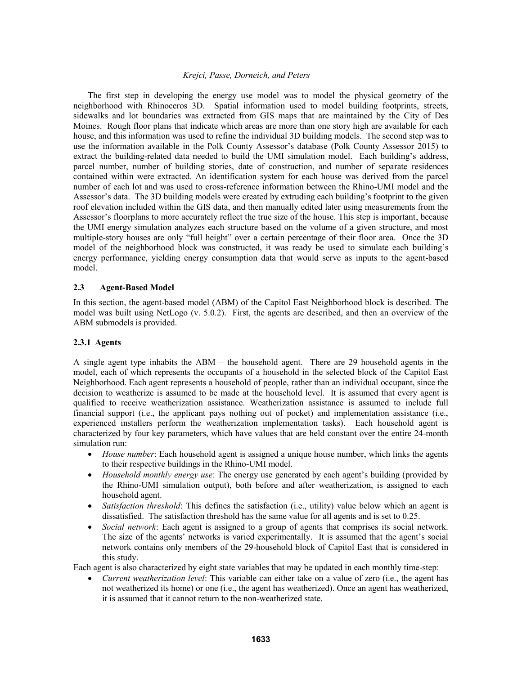The first step in developing the energy use model was to model the physical geometry of the neighborhood with Rhinoceros 3D. Spatial information used to model building footprints, streets, sidewalks and lot boundaries was extracted from GIS maps that are maintained by the City of Des Moines. Rough floor plans that indicate which areas are more than one story high are available for each house, and this information was used to refine the individual 3D building models. The second step was to use the information available in the Polk County Assessor's database (Polk County Assessor 2015) to extract the building-related data needed to build the UMI simulation model. Each building's address, parcel number, number of building stories, date of construction, and number of separate residences contained within were extracted. An identification system for each house was derived from the parcel number of each lot and was used to cross-reference information between the Rhino-UMI model and the Assessor's data. The 3D building models were created by extruding each building's footprint to the given roof elevation included within the GIS data, and then manually edited later using measurements from the Assessor's floorplans to more accurately reflect the true size of the house. This step is important, because the UMI energy simulation analyzes each structure based on the volume of a given structure, and most multiple-story houses are only "full height" over a certain percentage of their floor area. Once the 3D model of the neighborhood block was constructed, it was ready be used to simulate each building's energy performance, yielding energy consumption data that would serve as inputs to the agent-based model.

#### **2.3 Agent-Based Model**

In this section, the agent-based model (ABM) of the Capitol East Neighborhood block is described. The model was built using NetLogo (v. 5.0.2). First, the agents are described, and then an overview of the ABM submodels is provided.

## **2.3.1 Agents**

A single agent type inhabits the ABM – the household agent. There are 29 household agents in the model, each of which represents the occupants of a household in the selected block of the Capitol East Neighborhood. Each agent represents a household of people, rather than an individual occupant, since the decision to weatherize is assumed to be made at the household level. It is assumed that every agent is qualified to receive weatherization assistance. Weatherization assistance is assumed to include full financial support (i.e., the applicant pays nothing out of pocket) and implementation assistance (i.e., experienced installers perform the weatherization implementation tasks). Each household agent is characterized by four key parameters, which have values that are held constant over the entire 24-month simulation run:

- *House number*: Each household agent is assigned a unique house number, which links the agents to their respective buildings in the Rhino-UMI model.
- *Household monthly energy use*: The energy use generated by each agent's building (provided by the Rhino-UMI simulation output), both before and after weatherization, is assigned to each household agent.
- *Satisfaction threshold*: This defines the satisfaction (i.e., utility) value below which an agent is dissatisfied. The satisfaction threshold has the same value for all agents and is set to 0.25.
- *Social network*: Each agent is assigned to a group of agents that comprises its social network. The size of the agents' networks is varied experimentally. It is assumed that the agent's social network contains only members of the 29-household block of Capitol East that is considered in this study.

Each agent is also characterized by eight state variables that may be updated in each monthly time-step:

 *Current weatherization level*: This variable can either take on a value of zero (i.e., the agent has not weatherized its home) or one (i.e., the agent has weatherized). Once an agent has weatherized, it is assumed that it cannot return to the non-weatherized state.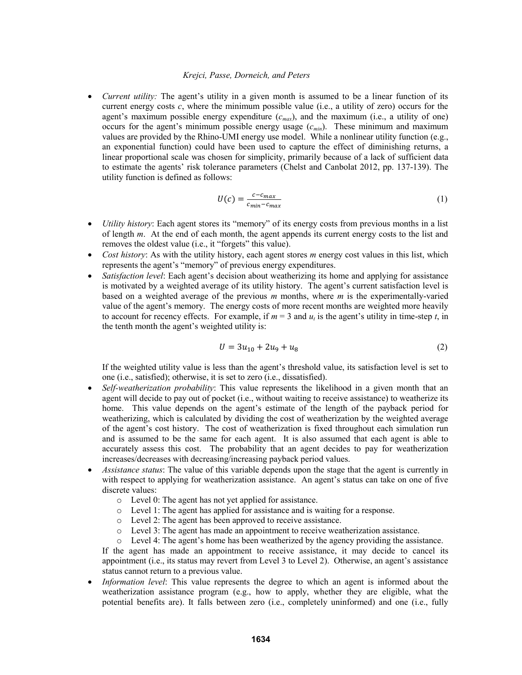*Current utility:* The agent's utility in a given month is assumed to be a linear function of its current energy costs  $c$ , where the minimum possible value (i.e., a utility of zero) occurs for the agent's maximum possible energy expenditure (*cmax*), and the maximum (i.e., a utility of one) occurs for the agent's minimum possible energy usage  $(c_{min})$ . These minimum and maximum values are provided by the Rhino-UMI energy use model. While a nonlinear utility function (e.g., an exponential function) could have been used to capture the effect of diminishing returns, a linear proportional scale was chosen for simplicity, primarily because of a lack of sufficient data to estimate the agents' risk tolerance parameters (Chelst and Canbolat 2012, pp. 137-139). The utility function is defined as follows:

$$
U(c) = \frac{c - c_{max}}{c_{min} - c_{max}}\tag{1}
$$

- *Utility history*: Each agent stores its "memory" of its energy costs from previous months in a list of length *m*. At the end of each month, the agent appends its current energy costs to the list and removes the oldest value (i.e., it "forgets" this value).
- *Cost history*: As with the utility history, each agent stores *m* energy cost values in this list, which represents the agent's "memory" of previous energy expenditures.
- *Satisfaction level*: Each agent's decision about weatherizing its home and applying for assistance is motivated by a weighted average of its utility history. The agent's current satisfaction level is based on a weighted average of the previous *m* months, where *m* is the experimentally-varied value of the agent's memory. The energy costs of more recent months are weighted more heavily to account for recency effects. For example, if  $m = 3$  and  $u_t$  is the agent's utility in time-step *t*, in the tenth month the agent's weighted utility is:

$$
U = 3u_{10} + 2u_9 + u_8 \tag{2}
$$

If the weighted utility value is less than the agent's threshold value, its satisfaction level is set to one (i.e., satisfied); otherwise, it is set to zero (i.e., dissatisfied).

- *Self-weatherization probability*: This value represents the likelihood in a given month that an agent will decide to pay out of pocket (i.e., without waiting to receive assistance) to weatherize its home. This value depends on the agent's estimate of the length of the payback period for weatherizing, which is calculated by dividing the cost of weatherization by the weighted average of the agent's cost history. The cost of weatherization is fixed throughout each simulation run and is assumed to be the same for each agent. It is also assumed that each agent is able to accurately assess this cost. The probability that an agent decides to pay for weatherization increases/decreases with decreasing/increasing payback period values.
- *Assistance status*: The value of this variable depends upon the stage that the agent is currently in with respect to applying for weatherization assistance. An agent's status can take on one of five discrete values:
	- o Level 0: The agent has not yet applied for assistance.
	- o Level 1: The agent has applied for assistance and is waiting for a response.
	- o Level 2: The agent has been approved to receive assistance.
	- o Level 3: The agent has made an appointment to receive weatherization assistance.
	- o Level 4: The agent's home has been weatherized by the agency providing the assistance.

If the agent has made an appointment to receive assistance, it may decide to cancel its appointment (i.e., its status may revert from Level 3 to Level 2). Otherwise, an agent's assistance status cannot return to a previous value.

 *Information level*: This value represents the degree to which an agent is informed about the weatherization assistance program (e.g., how to apply, whether they are eligible, what the potential benefits are). It falls between zero (i.e., completely uninformed) and one (i.e., fully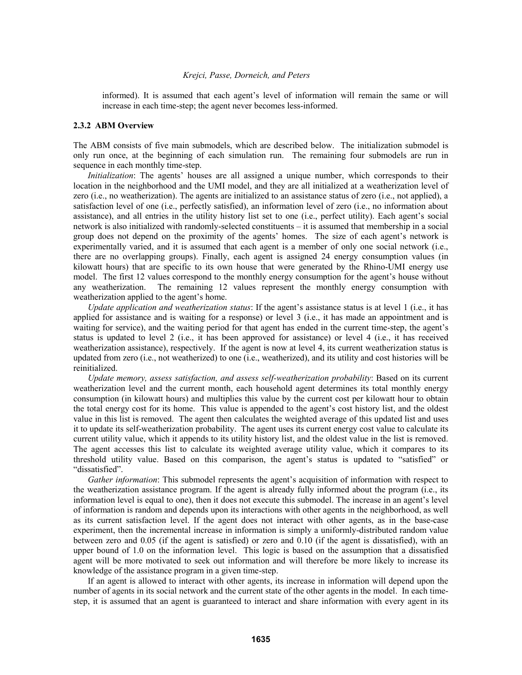informed). It is assumed that each agent's level of information will remain the same or will increase in each time-step; the agent never becomes less-informed.

#### **2.3.2 ABM Overview**

The ABM consists of five main submodels, which are described below. The initialization submodel is only run once, at the beginning of each simulation run. The remaining four submodels are run in sequence in each monthly time-step.

*Initialization*: The agents' houses are all assigned a unique number, which corresponds to their location in the neighborhood and the UMI model, and they are all initialized at a weatherization level of zero (i.e., no weatherization). The agents are initialized to an assistance status of zero (i.e., not applied), a satisfaction level of one (i.e., perfectly satisfied), an information level of zero (i.e., no information about assistance), and all entries in the utility history list set to one (i.e., perfect utility). Each agent's social network is also initialized with randomly-selected constituents – it is assumed that membership in a social group does not depend on the proximity of the agents' homes. The size of each agent's network is experimentally varied, and it is assumed that each agent is a member of only one social network (i.e., there are no overlapping groups). Finally, each agent is assigned 24 energy consumption values (in kilowatt hours) that are specific to its own house that were generated by the Rhino-UMI energy use model. The first 12 values correspond to the monthly energy consumption for the agent's house without any weatherization. The remaining 12 values represent the monthly energy consumption with weatherization applied to the agent's home.

*Update application and weatherization status*: If the agent's assistance status is at level 1 (i.e., it has applied for assistance and is waiting for a response) or level 3 (i.e., it has made an appointment and is waiting for service), and the waiting period for that agent has ended in the current time-step, the agent's status is updated to level 2 (i.e., it has been approved for assistance) or level 4 (i.e., it has received weatherization assistance), respectively. If the agent is now at level 4, its current weatherization status is updated from zero (i.e., not weatherized) to one (i.e., weatherized), and its utility and cost histories will be reinitialized.

*Update memory, assess satisfaction, and assess self-weatherization probability*: Based on its current weatherization level and the current month, each household agent determines its total monthly energy consumption (in kilowatt hours) and multiplies this value by the current cost per kilowatt hour to obtain the total energy cost for its home. This value is appended to the agent's cost history list, and the oldest value in this list is removed. The agent then calculates the weighted average of this updated list and uses it to update its self-weatherization probability. The agent uses its current energy cost value to calculate its current utility value, which it appends to its utility history list, and the oldest value in the list is removed. The agent accesses this list to calculate its weighted average utility value, which it compares to its threshold utility value. Based on this comparison, the agent's status is updated to "satisfied" or "dissatisfied".

*Gather information*: This submodel represents the agent's acquisition of information with respect to the weatherization assistance program. If the agent is already fully informed about the program (i.e., its information level is equal to one), then it does not execute this submodel. The increase in an agent's level of information is random and depends upon its interactions with other agents in the neighborhood, as well as its current satisfaction level. If the agent does not interact with other agents, as in the base-case experiment, then the incremental increase in information is simply a uniformly-distributed random value between zero and 0.05 (if the agent is satisfied) or zero and 0.10 (if the agent is dissatisfied), with an upper bound of 1.0 on the information level. This logic is based on the assumption that a dissatisfied agent will be more motivated to seek out information and will therefore be more likely to increase its knowledge of the assistance program in a given time-step.

If an agent is allowed to interact with other agents, its increase in information will depend upon the number of agents in its social network and the current state of the other agents in the model. In each timestep, it is assumed that an agent is guaranteed to interact and share information with every agent in its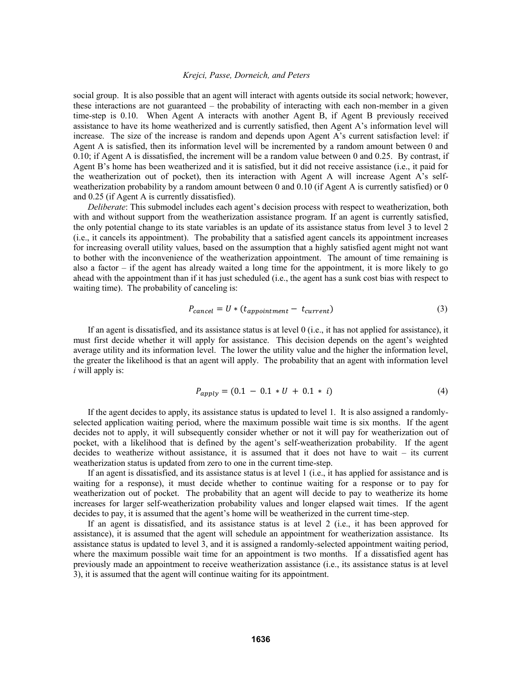social group. It is also possible that an agent will interact with agents outside its social network; however, these interactions are not guaranteed – the probability of interacting with each non-member in a given time-step is 0.10. When Agent A interacts with another Agent B, if Agent B previously received assistance to have its home weatherized and is currently satisfied, then Agent A's information level will increase. The size of the increase is random and depends upon Agent A's current satisfaction level: if Agent A is satisfied, then its information level will be incremented by a random amount between 0 and 0.10; if Agent A is dissatisfied, the increment will be a random value between 0 and 0.25. By contrast, if Agent B's home has been weatherized and it is satisfied, but it did not receive assistance (i.e., it paid for the weatherization out of pocket), then its interaction with Agent A will increase Agent A's selfweatherization probability by a random amount between 0 and 0.10 (if Agent A is currently satisfied) or 0 and 0.25 (if Agent A is currently dissatisfied).

*Deliberate*: This submodel includes each agent's decision process with respect to weatherization, both with and without support from the weatherization assistance program. If an agent is currently satisfied, the only potential change to its state variables is an update of its assistance status from level 3 to level 2 (i.e., it cancels its appointment). The probability that a satisfied agent cancels its appointment increases for increasing overall utility values, based on the assumption that a highly satisfied agent might not want to bother with the inconvenience of the weatherization appointment. The amount of time remaining is also a factor – if the agent has already waited a long time for the appointment, it is more likely to go ahead with the appointment than if it has just scheduled (i.e., the agent has a sunk cost bias with respect to waiting time). The probability of canceling is:

$$
P_{cancel} = U * (t_{\text{amountment}} - t_{\text{current}}) \tag{3}
$$

 If an agent is dissatisfied, and its assistance status is at level 0 (i.e., it has not applied for assistance), it must first decide whether it will apply for assistance. This decision depends on the agent's weighted average utility and its information level. The lower the utility value and the higher the information level, the greater the likelihood is that an agent will apply. The probability that an agent with information level *i* will apply is:

$$
P_{apply} = (0.1 - 0.1 * U + 0.1 * i)
$$
\n(4)

 If the agent decides to apply, its assistance status is updated to level 1. It is also assigned a randomlyselected application waiting period, where the maximum possible wait time is six months. If the agent decides not to apply, it will subsequently consider whether or not it will pay for weatherization out of pocket, with a likelihood that is defined by the agent's self-weatherization probability. If the agent decides to weatherize without assistance, it is assumed that it does not have to wait – its current weatherization status is updated from zero to one in the current time-step.

If an agent is dissatisfied, and its assistance status is at level 1 (i.e., it has applied for assistance and is waiting for a response), it must decide whether to continue waiting for a response or to pay for weatherization out of pocket. The probability that an agent will decide to pay to weatherize its home increases for larger self-weatherization probability values and longer elapsed wait times. If the agent decides to pay, it is assumed that the agent's home will be weatherized in the current time-step.

If an agent is dissatisfied, and its assistance status is at level 2 (i.e., it has been approved for assistance), it is assumed that the agent will schedule an appointment for weatherization assistance. Its assistance status is updated to level 3, and it is assigned a randomly-selected appointment waiting period, where the maximum possible wait time for an appointment is two months. If a dissatisfied agent has previously made an appointment to receive weatherization assistance (i.e., its assistance status is at level 3), it is assumed that the agent will continue waiting for its appointment.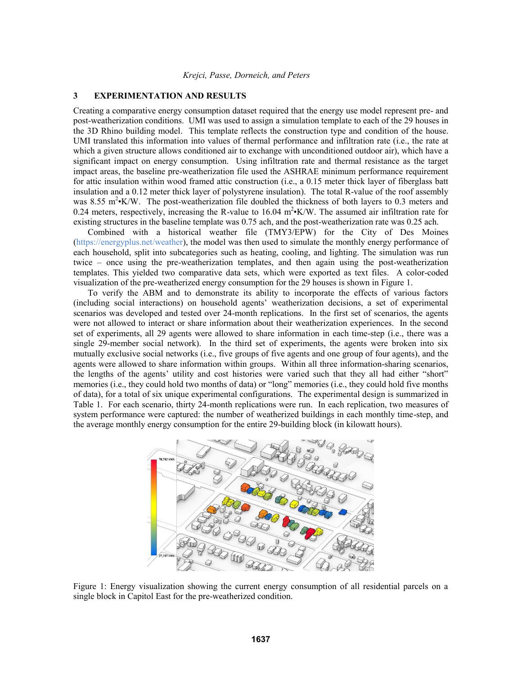#### **3 EXPERIMENTATION AND RESULTS**

Creating a comparative energy consumption dataset required that the energy use model represent pre- and post-weatherization conditions. UMI was used to assign a simulation template to each of the 29 houses in the 3D Rhino building model. This template reflects the construction type and condition of the house. UMI translated this information into values of thermal performance and infiltration rate (i.e., the rate at which a given structure allows conditioned air to exchange with unconditioned outdoor air), which have a significant impact on energy consumption. Using infiltration rate and thermal resistance as the target impact areas, the baseline pre-weatherization file used the ASHRAE minimum performance requirement for attic insulation within wood framed attic construction (i.e., a 0.15 meter thick layer of fiberglass batt insulation and a 0.12 meter thick layer of polystyrene insulation). The total R-value of the roof assembly was 8.55 m<sup>2</sup> K/W. The post-weatherization file doubled the thickness of both layers to 0.3 meters and 0.24 meters, respectively, increasing the R-value to 16.04  $m^2$  K/W. The assumed air infiltration rate for existing structures in the baseline template was 0.75 ach, and the post-weatherization rate was 0.25 ach.

 Combined with a historical weather file (TMY3/EPW) for the City of Des Moines (https://energyplus.net/weather), the model was then used to simulate the monthly energy performance of each household, split into subcategories such as heating, cooling, and lighting. The simulation was run twice – once using the pre-weatherization templates, and then again using the post-weatherization templates. This yielded two comparative data sets, which were exported as text files. A color-coded visualization of the pre-weatherized energy consumption for the 29 houses is shown in Figure 1.

 To verify the ABM and to demonstrate its ability to incorporate the effects of various factors (including social interactions) on household agents' weatherization decisions, a set of experimental scenarios was developed and tested over 24-month replications. In the first set of scenarios, the agents were not allowed to interact or share information about their weatherization experiences. In the second set of experiments, all 29 agents were allowed to share information in each time-step (i.e., there was a single 29-member social network). In the third set of experiments, the agents were broken into six mutually exclusive social networks (i.e., five groups of five agents and one group of four agents), and the agents were allowed to share information within groups. Within all three information-sharing scenarios, the lengths of the agents' utility and cost histories were varied such that they all had either "short" memories (i.e., they could hold two months of data) or "long" memories (i.e., they could hold five months of data), for a total of six unique experimental configurations. The experimental design is summarized in Table 1. For each scenario, thirty 24-month replications were run. In each replication, two measures of system performance were captured: the number of weatherized buildings in each monthly time-step, and the average monthly energy consumption for the entire 29-building block (in kilowatt hours).



Figure 1: Energy visualization showing the current energy consumption of all residential parcels on a single block in Capitol East for the pre-weatherized condition.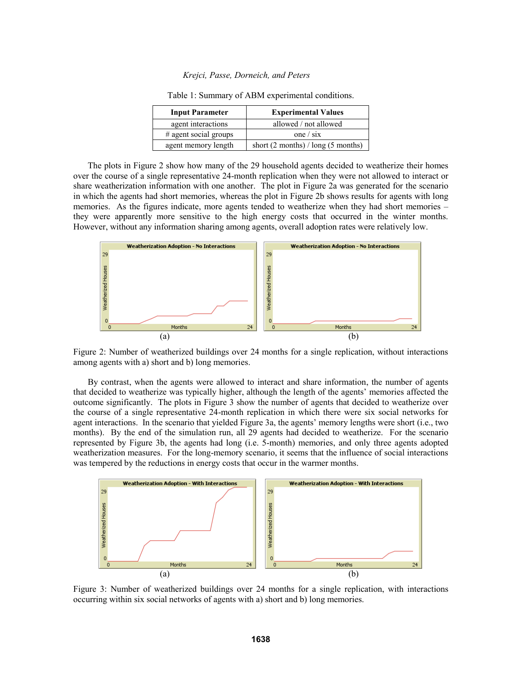| <b>Input Parameter</b>  | <b>Experimental Values</b>             |
|-------------------------|----------------------------------------|
| agent interactions      | allowed / not allowed                  |
| $#$ agent social groups | one $\sin$                             |
| agent memory length     | short $(2$ months) / long $(5$ months) |

Table 1: Summary of ABM experimental conditions.

 The plots in Figure 2 show how many of the 29 household agents decided to weatherize their homes over the course of a single representative 24-month replication when they were not allowed to interact or share weatherization information with one another. The plot in Figure 2a was generated for the scenario in which the agents had short memories, whereas the plot in Figure 2b shows results for agents with long memories. As the figures indicate, more agents tended to weatherize when they had short memories – they were apparently more sensitive to the high energy costs that occurred in the winter months. However, without any information sharing among agents, overall adoption rates were relatively low.



Figure 2: Number of weatherized buildings over 24 months for a single replication, without interactions among agents with a) short and b) long memories.

 By contrast, when the agents were allowed to interact and share information, the number of agents that decided to weatherize was typically higher, although the length of the agents' memories affected the outcome significantly. The plots in Figure 3 show the number of agents that decided to weatherize over the course of a single representative 24-month replication in which there were six social networks for agent interactions. In the scenario that yielded Figure 3a, the agents' memory lengths were short (i.e., two months). By the end of the simulation run, all 29 agents had decided to weatherize. For the scenario represented by Figure 3b, the agents had long (i.e. 5-month) memories, and only three agents adopted weatherization measures. For the long-memory scenario, it seems that the influence of social interactions was tempered by the reductions in energy costs that occur in the warmer months.



Figure 3: Number of weatherized buildings over 24 months for a single replication, with interactions occurring within six social networks of agents with a) short and b) long memories.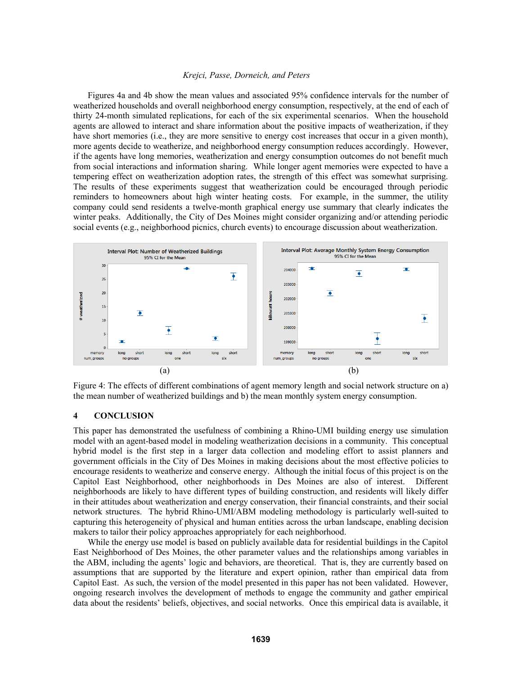Figures 4a and 4b show the mean values and associated 95% confidence intervals for the number of weatherized households and overall neighborhood energy consumption, respectively, at the end of each of thirty 24-month simulated replications, for each of the six experimental scenarios. When the household agents are allowed to interact and share information about the positive impacts of weatherization, if they have short memories (i.e., they are more sensitive to energy cost increases that occur in a given month), more agents decide to weatherize, and neighborhood energy consumption reduces accordingly. However, if the agents have long memories, weatherization and energy consumption outcomes do not benefit much from social interactions and information sharing. While longer agent memories were expected to have a tempering effect on weatherization adoption rates, the strength of this effect was somewhat surprising. The results of these experiments suggest that weatherization could be encouraged through periodic reminders to homeowners about high winter heating costs. For example, in the summer, the utility company could send residents a twelve-month graphical energy use summary that clearly indicates the winter peaks. Additionally, the City of Des Moines might consider organizing and/or attending periodic social events (e.g., neighborhood picnics, church events) to encourage discussion about weatherization.



Figure 4: The effects of different combinations of agent memory length and social network structure on a) the mean number of weatherized buildings and b) the mean monthly system energy consumption.

#### **4 CONCLUSION**

This paper has demonstrated the usefulness of combining a Rhino-UMI building energy use simulation model with an agent-based model in modeling weatherization decisions in a community. This conceptual hybrid model is the first step in a larger data collection and modeling effort to assist planners and government officials in the City of Des Moines in making decisions about the most effective policies to encourage residents to weatherize and conserve energy. Although the initial focus of this project is on the Capitol East Neighborhood, other neighborhoods in Des Moines are also of interest. Different neighborhoods are likely to have different types of building construction, and residents will likely differ in their attitudes about weatherization and energy conservation, their financial constraints, and their social network structures. The hybrid Rhino-UMI/ABM modeling methodology is particularly well-suited to capturing this heterogeneity of physical and human entities across the urban landscape, enabling decision makers to tailor their policy approaches appropriately for each neighborhood.

 While the energy use model is based on publicly available data for residential buildings in the Capitol East Neighborhood of Des Moines, the other parameter values and the relationships among variables in the ABM, including the agents' logic and behaviors, are theoretical. That is, they are currently based on assumptions that are supported by the literature and expert opinion, rather than empirical data from Capitol East. As such, the version of the model presented in this paper has not been validated. However, ongoing research involves the development of methods to engage the community and gather empirical data about the residents' beliefs, objectives, and social networks. Once this empirical data is available, it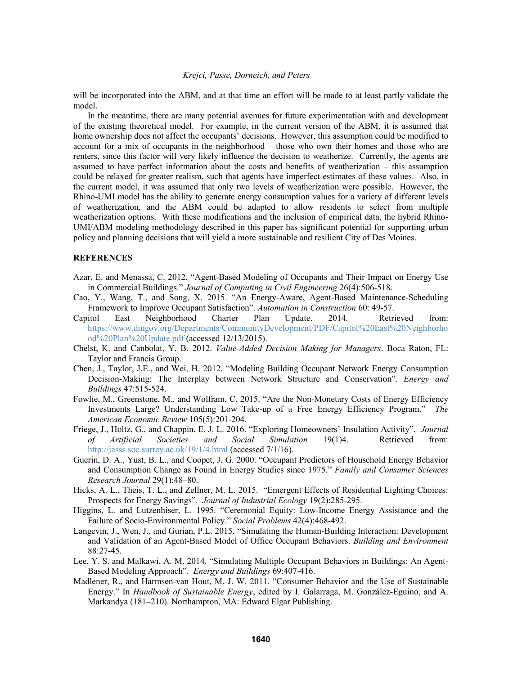will be incorporated into the ABM, and at that time an effort will be made to at least partly validate the model.

 In the meantime, there are many potential avenues for future experimentation with and development of the existing theoretical model. For example, in the current version of the ABM, it is assumed that home ownership does not affect the occupants' decisions. However, this assumption could be modified to account for a mix of occupants in the neighborhood – those who own their homes and those who are renters, since this factor will very likely influence the decision to weatherize. Currently, the agents are assumed to have perfect information about the costs and benefits of weatherization – this assumption could be relaxed for greater realism, such that agents have imperfect estimates of these values. Also, in the current model, it was assumed that only two levels of weatherization were possible. However, the Rhino-UMI model has the ability to generate energy consumption values for a variety of different levels of weatherization, and the ABM could be adapted to allow residents to select from multiple weatherization options. With these modifications and the inclusion of empirical data, the hybrid Rhino-UMI/ABM modeling methodology described in this paper has significant potential for supporting urban policy and planning decisions that will yield a more sustainable and resilient City of Des Moines.

#### **REFERENCES**

- Azar, E. and Menassa, C. 2012. "Agent-Based Modeling of Occupants and Their Impact on Energy Use in Commercial Buildings." *Journal of Computing in Civil Engineering* 26(4):506-518.
- Cao, Y., Wang, T., and Song, X. 2015. "An Energy-Aware, Agent-Based Maintenance-Scheduling Framework to Improve Occupant Satisfaction". *Automation in Construction* 60: 49-57.
- Capitol East Neighborhood Charter Plan Update. 2014. Retrieved from: https://www.dmgov.org/Departments/CommunityDevelopment/PDF/Capitol%20East%20Neighborho od%20Plan%20Update.pdf (accessed 12/13/2015).
- Chelst, K. and Canbolat, Y. B. 2012. *Value-Added Decision Making for Managers*. Boca Raton, FL: Taylor and Francis Group.
- Chen, J., Taylor, J.E., and Wei, H. 2012. "Modeling Building Occupant Network Energy Consumption Decision-Making: The Interplay between Network Structure and Conservation". *Energy and Buildings* 47:515-524.
- Fowlie, M., Greenstone, M., and Wolfram, C. 2015. "Are the Non-Monetary Costs of Energy Efficiency Investments Large? Understanding Low Take-up of a Free Energy Efficiency Program." *The American Economic Review* 105(5):201-204.
- Friege, J., Holtz, G., and Chappin, E. J. L. 2016. "Exploring Homeowners' Insulation Activity". *Journal of Artificial Societies and Social Simulation* 19(1)4. Retrieved from: http://jasss.soc.surrey.ac.uk/19/1/4.html (accessed 7/1/16).
- Guerin, D. A., Yust, B. L., and Coopet, J. G. 2000. "Occupant Predictors of Household Energy Behavior and Consumption Change as Found in Energy Studies since 1975." *Family and Consumer Sciences Research Journal* 29(1):48–80.
- Hicks, A. L., Theis, T. L., and Zellner, M. L. 2015. "Emergent Effects of Residential Lighting Choices: Prospects for Energy Savings". *Journal of Industrial Ecology* 19(2):285-295.
- Higgins, L. and Lutzenhiser, L. 1995. "Ceremonial Equity: Low-Income Energy Assistance and the Failure of Socio-Environmental Policy." *Social Problems* 42(4):468-492.
- Langevin, J., Wen, J., and Gurian, P.L. 2015. "Simulating the Human-Building Interaction: Development and Validation of an Agent-Based Model of Office Occupant Behaviors. *Building and Environment* 88:27-45.
- Lee, Y. S. and Malkawi, A. M. 2014. "Simulating Multiple Occupant Behaviors in Buildings: An Agent-Based Modeling Approach". *Energy and Buildings* 69:407-416.
- Madlener, R., and Harmsen-van Hout, M. J. W. 2011. "Consumer Behavior and the Use of Sustainable Energy." In *Handbook of Sustainable Energy*, edited by I. Galarraga, M. González-Eguino, and A. Markandya (181–210). Northampton, MA: Edward Elgar Publishing.